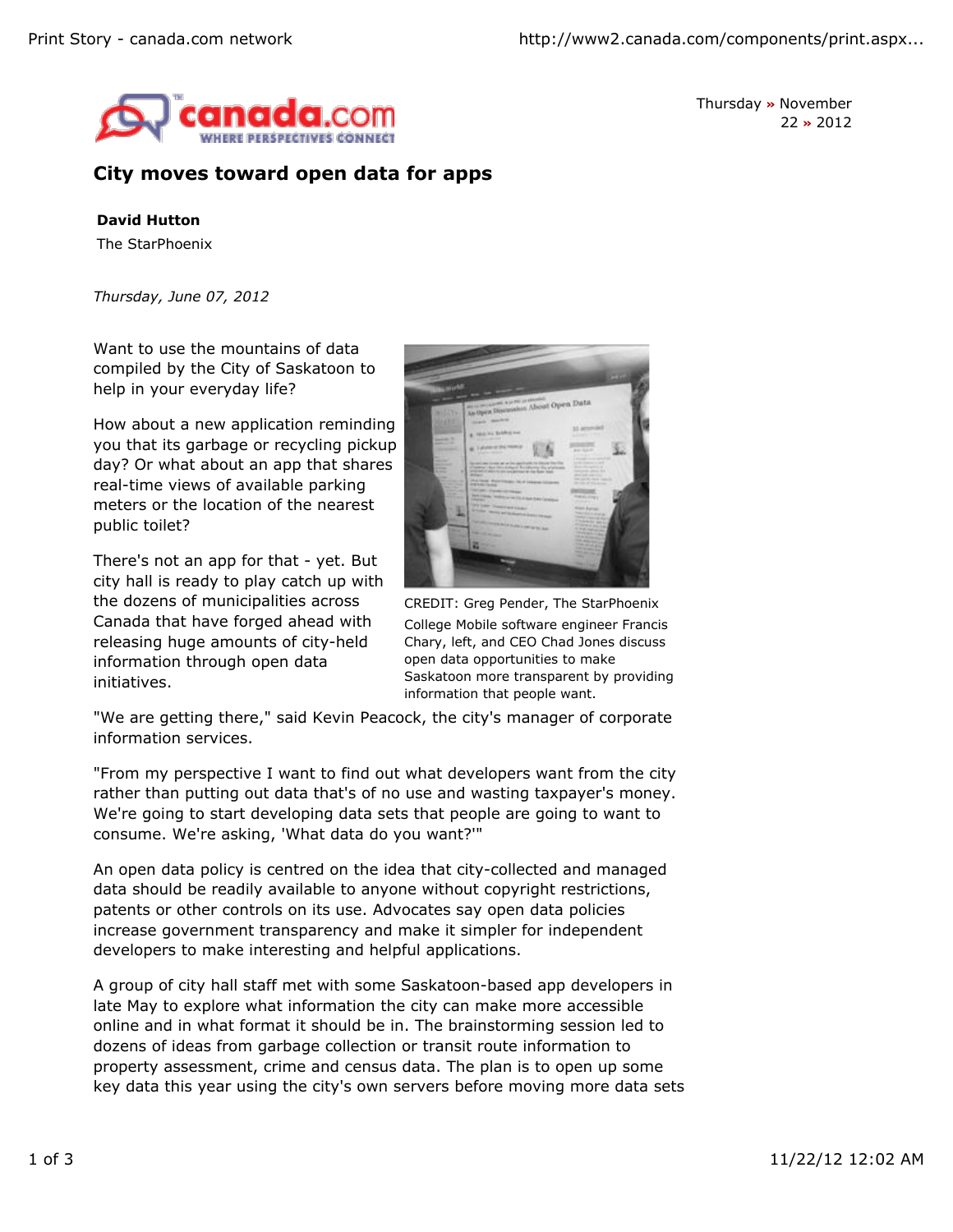

Thursday **»** November 22 **»** 2012

## **City moves toward open data for apps**

## **David Hutton**

The StarPhoenix

*Thursday, June 07, 2012*

Want to use the mountains of data compiled by the City of Saskatoon to help in your everyday life?

How about a new application reminding you that its garbage or recycling pickup day? Or what about an app that shares real-time views of available parking meters or the location of the nearest public toilet?

There's not an app for that - yet. But city hall is ready to play catch up with the dozens of municipalities across Canada that have forged ahead with releasing huge amounts of city-held information through open data initiatives.



CREDIT: Greg Pender, The StarPhoenix College Mobile software engineer Francis Chary, left, and CEO Chad Jones discuss open data opportunities to make Saskatoon more transparent by providing information that people want.

"We are getting there," said Kevin Peacock, the city's manager of corporate information services.

"From my perspective I want to find out what developers want from the city rather than putting out data that's of no use and wasting taxpayer's money. We're going to start developing data sets that people are going to want to consume. We're asking, 'What data do you want?'"

An open data policy is centred on the idea that city-collected and managed data should be readily available to anyone without copyright restrictions, patents or other controls on its use. Advocates say open data policies increase government transparency and make it simpler for independent developers to make interesting and helpful applications.

A group of city hall staff met with some Saskatoon-based app developers in late May to explore what information the city can make more accessible online and in what format it should be in. The brainstorming session led to dozens of ideas from garbage collection or transit route information to property assessment, crime and census data. The plan is to open up some key data this year using the city's own servers before moving more data sets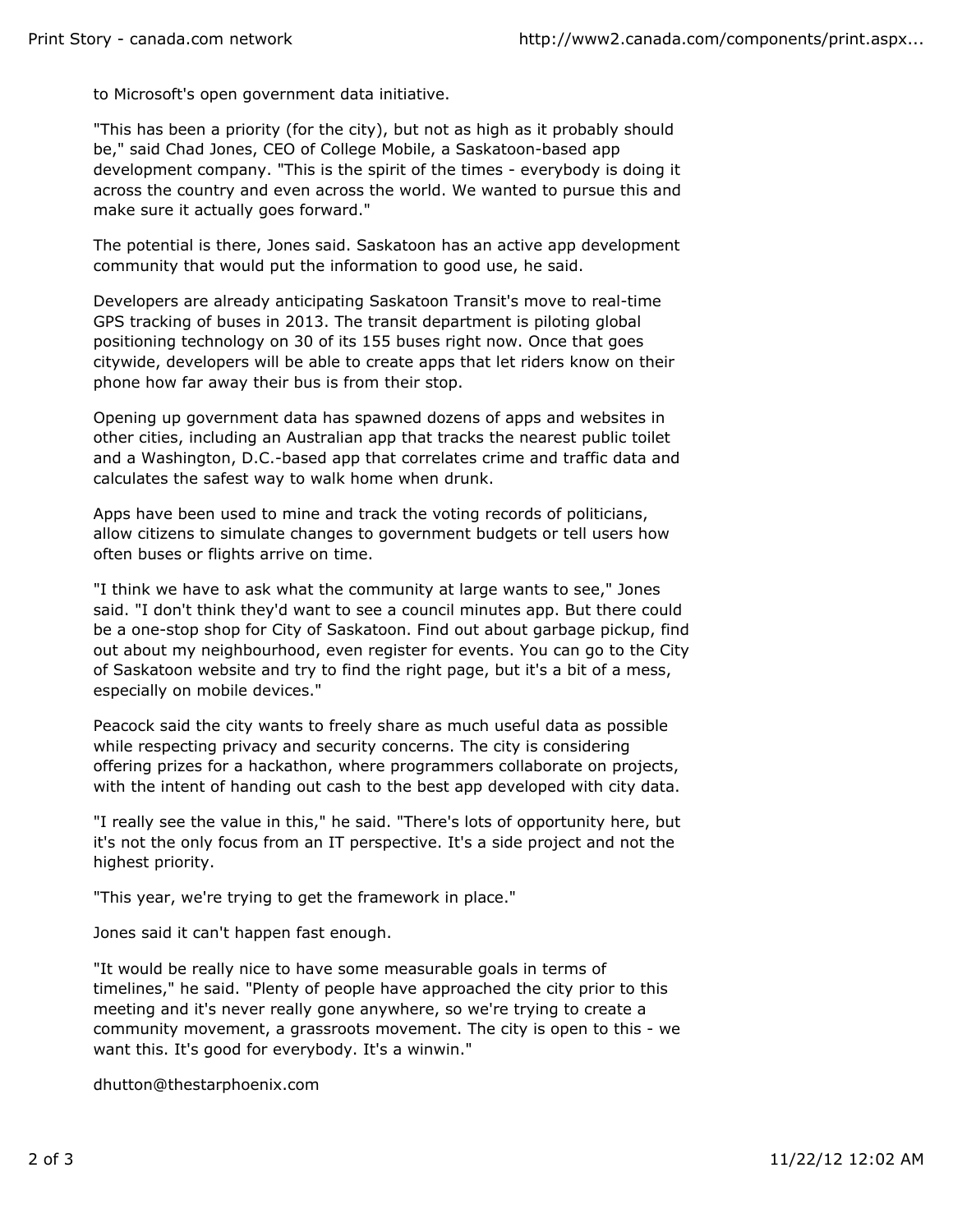to Microsoft's open government data initiative.

"This has been a priority (for the city), but not as high as it probably should be," said Chad Jones, CEO of College Mobile, a Saskatoon-based app development company. "This is the spirit of the times - everybody is doing it across the country and even across the world. We wanted to pursue this and make sure it actually goes forward."

The potential is there, Jones said. Saskatoon has an active app development community that would put the information to good use, he said.

Developers are already anticipating Saskatoon Transit's move to real-time GPS tracking of buses in 2013. The transit department is piloting global positioning technology on 30 of its 155 buses right now. Once that goes citywide, developers will be able to create apps that let riders know on their phone how far away their bus is from their stop.

Opening up government data has spawned dozens of apps and websites in other cities, including an Australian app that tracks the nearest public toilet and a Washington, D.C.-based app that correlates crime and traffic data and calculates the safest way to walk home when drunk.

Apps have been used to mine and track the voting records of politicians, allow citizens to simulate changes to government budgets or tell users how often buses or flights arrive on time.

"I think we have to ask what the community at large wants to see," Jones said. "I don't think they'd want to see a council minutes app. But there could be a one-stop shop for City of Saskatoon. Find out about garbage pickup, find out about my neighbourhood, even register for events. You can go to the City of Saskatoon website and try to find the right page, but it's a bit of a mess, especially on mobile devices."

Peacock said the city wants to freely share as much useful data as possible while respecting privacy and security concerns. The city is considering offering prizes for a hackathon, where programmers collaborate on projects, with the intent of handing out cash to the best app developed with city data.

"I really see the value in this," he said. "There's lots of opportunity here, but it's not the only focus from an IT perspective. It's a side project and not the highest priority.

"This year, we're trying to get the framework in place."

Jones said it can't happen fast enough.

"It would be really nice to have some measurable goals in terms of timelines," he said. "Plenty of people have approached the city prior to this meeting and it's never really gone anywhere, so we're trying to create a community movement, a grassroots movement. The city is open to this - we want this. It's good for everybody. It's a winwin."

dhutton@thestarphoenix.com